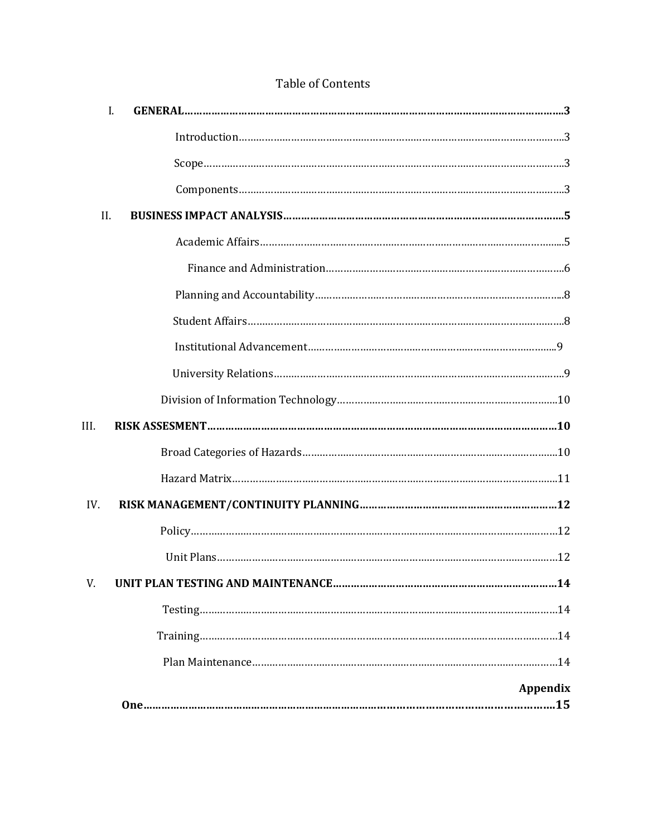| II.      |  |
|----------|--|
|          |  |
|          |  |
|          |  |
|          |  |
|          |  |
|          |  |
|          |  |
| III.     |  |
|          |  |
|          |  |
| IV.      |  |
|          |  |
|          |  |
| V.       |  |
|          |  |
|          |  |
|          |  |
| Appendix |  |

# Table of Contents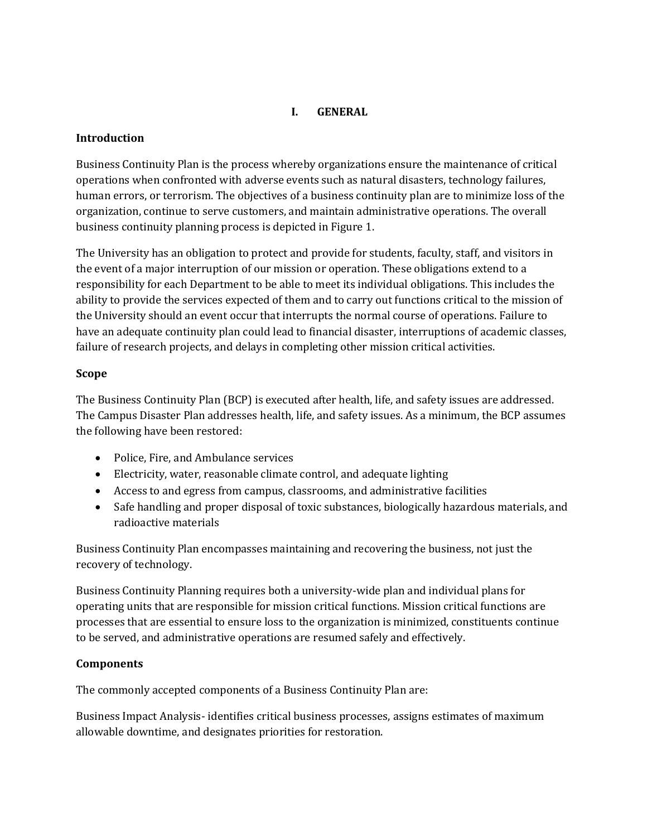## **I. GENERAL**

### **Introduction**

Business Continuity Plan is the process whereby organizations ensure the maintenance of critical operations when confronted with adverse events such as natural disasters, technology failures, human errors, or terrorism. The objectives of a business continuity plan are to minimize loss of the organization, continue to serve customers, and maintain administrative operations. The overall business continuity planning process is depicted in Figure 1.

The University has an obligation to protect and provide for students, faculty, staff, and visitors in the event of a major interruption of our mission or operation. These obligations extend to a responsibility for each Department to be able to meet its individual obligations. This includes the ability to provide the services expected of them and to carry out functions critical to the mission of the University should an event occur that interrupts the normal course of operations. Failure to have an adequate continuity plan could lead to financial disaster, interruptions of academic classes, failure of research projects, and delays in completing other mission critical activities.

### **Scope**

The Business Continuity Plan (BCP) is executed after health, life, and safety issues are addressed. The Campus Disaster Plan addresses health, life, and safety issues. As a minimum, the BCP assumes the following have been restored:

- Police, Fire, and Ambulance services
- Electricity, water, reasonable climate control, and adequate lighting
- Access to and egress from campus, classrooms, and administrative facilities
- Safe handling and proper disposal of toxic substances, biologically hazardous materials, and radioactive materials

Business Continuity Plan encompasses maintaining and recovering the business, not just the recovery of technology.

Business Continuity Planning requires both a university-wide plan and individual plans for operating units that are responsible for mission critical functions. Mission critical functions are processes that are essential to ensure loss to the organization is minimized, constituents continue to be served, and administrative operations are resumed safely and effectively.

## **Components**

The commonly accepted components of a Business Continuity Plan are:

Business Impact Analysis- identifies critical business processes, assigns estimates of maximum allowable downtime, and designates priorities for restoration.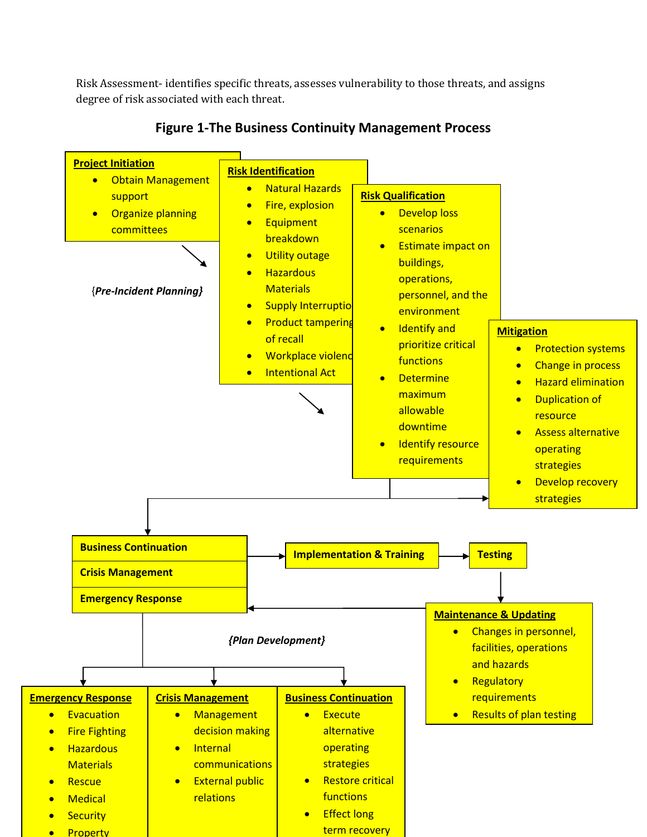Risk Assessment- identifies specific threats, assesses vulnerability to those threats, and assigns degree of risk associated with each threat.



# **Figure 1-The Business Continuity Management Process**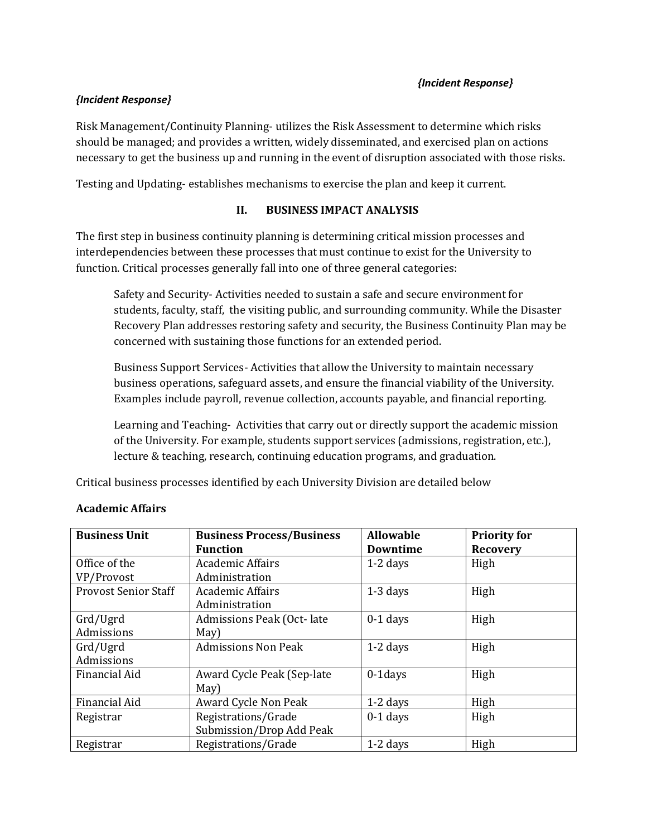### *{Incident Response}*

## *{Incident Response}*

Risk Management/Continuity Planning- utilizes the Risk Assessment to determine which risks should be managed; and provides a written, widely disseminated, and exercised plan on actions necessary to get the business up and running in the event of disruption associated with those risks.

Testing and Updating- establishes mechanisms to exercise the plan and keep it current.

## **II. BUSINESS IMPACT ANALYSIS**

The first step in business continuity planning is determining critical mission processes and interdependencies between these processes that must continue to exist for the University to function. Critical processes generally fall into one of three general categories:

Safety and Security- Activities needed to sustain a safe and secure environment for students, faculty, staff, the visiting public, and surrounding community. While the Disaster Recovery Plan addresses restoring safety and security, the Business Continuity Plan may be concerned with sustaining those functions for an extended period.

Business Support Services- Activities that allow the University to maintain necessary business operations, safeguard assets, and ensure the financial viability of the University. Examples include payroll, revenue collection, accounts payable, and financial reporting.

Learning and Teaching- Activities that carry out or directly support the academic mission of the University. For example, students support services (admissions, registration, etc.), lecture & teaching, research, continuing education programs, and graduation.

Critical business processes identified by each University Division are detailed below

| <b>Business Unit</b>        | <b>Business Process/Business</b> | <b>Allowable</b> | <b>Priority for</b> |
|-----------------------------|----------------------------------|------------------|---------------------|
|                             | <b>Function</b>                  | <b>Downtime</b>  | <b>Recovery</b>     |
| Office of the               | <b>Academic Affairs</b>          | $1-2$ days       | High                |
| VP/Provost                  | Administration                   |                  |                     |
| <b>Provost Senior Staff</b> | Academic Affairs                 | $1-3$ days       | High                |
|                             | Administration                   |                  |                     |
| Grd/Ugrd                    | Admissions Peak (Oct-late        | $0-1$ days       | High                |
| Admissions                  | May)                             |                  |                     |
| Grd/Ugrd                    | <b>Admissions Non Peak</b>       | $1-2$ days       | High                |
| Admissions                  |                                  |                  |                     |
| Financial Aid               | Award Cycle Peak (Sep-late       | $0-1$ days       | High                |
|                             | May)                             |                  |                     |
| Financial Aid               | Award Cycle Non Peak             | $1-2$ days       | High                |
| Registrar                   | Registrations/Grade              | $0-1$ days       | High                |
|                             | Submission/Drop Add Peak         |                  |                     |
| Registrar                   | Registrations/Grade              | $1-2$ days       | High                |

## **Academic Affairs**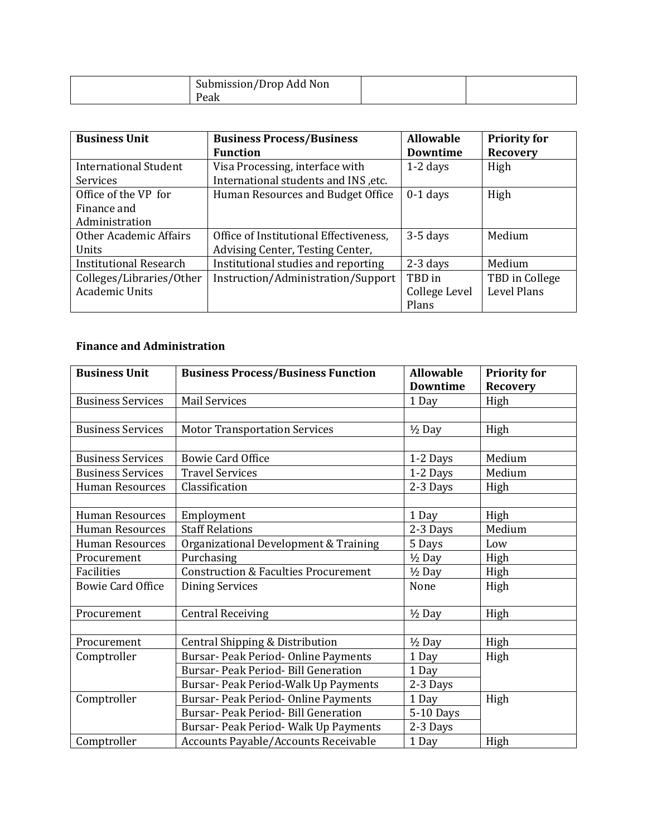| $\sqrt{ }$<br>Submission/Drop<br>Non<br>Add<br>_____ |  |
|------------------------------------------------------|--|
| еак                                                  |  |

| <b>Business Unit</b>          | <b>Business Process/Business</b>       | <b>Allowable</b> | <b>Priority for</b> |
|-------------------------------|----------------------------------------|------------------|---------------------|
|                               | <b>Function</b>                        | <b>Downtime</b>  | <b>Recovery</b>     |
| <b>International Student</b>  | Visa Processing, interface with        | $1-2$ days       | High                |
| <b>Services</b>               | International students and INS, etc.   |                  |                     |
| Office of the VP for          | Human Resources and Budget Office      | $0-1$ days       | High                |
| Finance and                   |                                        |                  |                     |
| Administration                |                                        |                  |                     |
| Other Academic Affairs        | Office of Institutional Effectiveness, | $3-5$ days       | Medium              |
| Units                         | Advising Center, Testing Center,       |                  |                     |
| <b>Institutional Research</b> | Institutional studies and reporting    | $2-3$ days       | Medium              |
| Colleges/Libraries/Other      | Instruction/Administration/Support     | TBD in           | TBD in College      |
| <b>Academic Units</b>         |                                        | College Level    | Level Plans         |
|                               |                                        | Plans            |                     |

# **Finance and Administration**

| <b>Business Unit</b>     | <b>Business Process/Business Function</b>       | <b>Allowable</b>  | <b>Priority for</b> |
|--------------------------|-------------------------------------------------|-------------------|---------------------|
|                          |                                                 | <b>Downtime</b>   | <b>Recovery</b>     |
| <b>Business Services</b> | <b>Mail Services</b>                            | 1 Day             | High                |
|                          |                                                 |                   |                     |
| <b>Business Services</b> | <b>Motor Transportation Services</b>            | $1/2$ Day         | High                |
|                          |                                                 |                   |                     |
| <b>Business Services</b> | <b>Bowie Card Office</b>                        | 1-2 Days          | Medium              |
| <b>Business Services</b> | <b>Travel Services</b>                          | 1-2 Days          | Medium              |
| <b>Human Resources</b>   | Classification                                  | 2-3 Days          | High                |
|                          |                                                 |                   |                     |
| <b>Human Resources</b>   | Employment                                      | 1 Day             | High                |
| <b>Human Resources</b>   | <b>Staff Relations</b>                          | 2-3 Days          | Medium              |
| <b>Human Resources</b>   | Organizational Development & Training           | 5 Days            | Low                 |
| Procurement              | Purchasing                                      | $1/2$ Day         | High                |
| <b>Facilities</b>        | <b>Construction &amp; Faculties Procurement</b> | $1/2$ Day         | High                |
| <b>Bowie Card Office</b> | <b>Dining Services</b>                          | None              | High                |
| Procurement              | <b>Central Receiving</b>                        | $1/2$ Day         | High                |
|                          |                                                 |                   |                     |
| Procurement              | Central Shipping & Distribution                 | $\frac{1}{2}$ Day | High                |
| Comptroller              | Bursar- Peak Period- Online Payments            | 1 Day             | High                |
|                          | Bursar- Peak Period- Bill Generation            | 1 Day             |                     |
|                          | Bursar- Peak Period-Walk Up Payments            | 2-3 Days          |                     |
| Comptroller              | Bursar- Peak Period- Online Payments            | 1 Day             | High                |
|                          | Bursar- Peak Period- Bill Generation            | 5-10 Days         |                     |
|                          | Bursar- Peak Period- Walk Up Payments           | 2-3 Days          |                     |
| Comptroller              | Accounts Payable/Accounts Receivable            | 1 Day             | High                |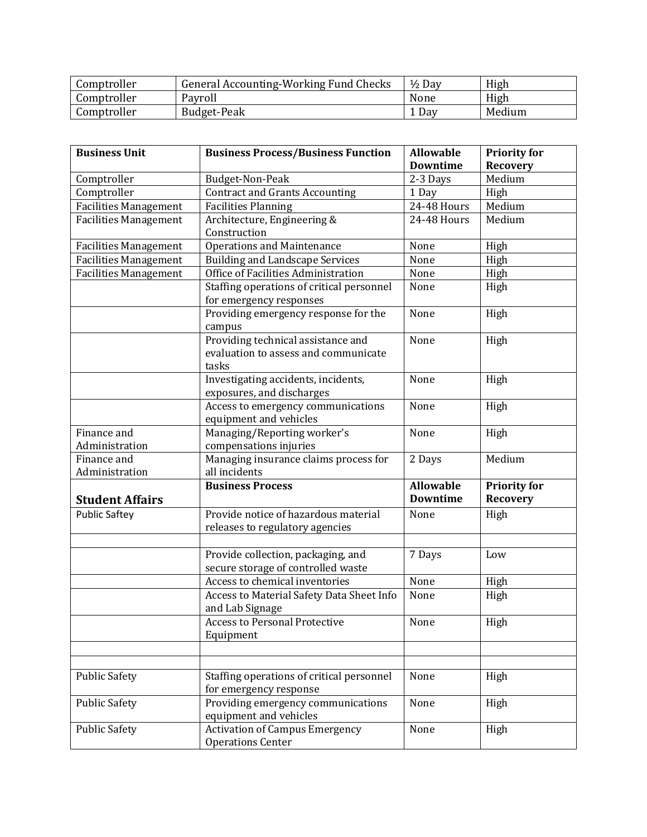| Comptroller | General Accounting-Working Fund Checks | $\frac{1}{2}$ Day | High   |
|-------------|----------------------------------------|-------------------|--------|
| Comptroller | Payroll                                | None              | High   |
| Comptroller | Budget-Peak                            | <sup>1</sup> Day  | Medium |

| <b>Business Unit</b>         | <b>Business Process/Business Function</b> | <b>Allowable</b> | <b>Priority for</b> |
|------------------------------|-------------------------------------------|------------------|---------------------|
|                              |                                           | <b>Downtime</b>  | <b>Recovery</b>     |
| Comptroller                  | Budget-Non-Peak                           | 2-3 Days         | Medium              |
| Comptroller                  | <b>Contract and Grants Accounting</b>     | 1 Day            | High                |
|                              |                                           | 24-48 Hours      | Medium              |
| Facilities Management        | <b>Facilities Planning</b>                |                  |                     |
| <b>Facilities Management</b> | Architecture, Engineering &               | 24-48 Hours      | Medium              |
|                              | Construction                              |                  |                     |
| <b>Facilities Management</b> | <b>Operations and Maintenance</b>         | None             | High                |
| <b>Facilities Management</b> | <b>Building and Landscape Services</b>    | None             | High                |
| <b>Facilities Management</b> | Office of Facilities Administration       | None             | High                |
|                              | Staffing operations of critical personnel | None             | High                |
|                              | for emergency responses                   |                  |                     |
|                              | Providing emergency response for the      | None             | High                |
|                              | campus                                    |                  |                     |
|                              | Providing technical assistance and        | None             | High                |
|                              | evaluation to assess and communicate      |                  |                     |
|                              | tasks                                     |                  |                     |
|                              | Investigating accidents, incidents,       | None             | High                |
|                              | exposures, and discharges                 |                  |                     |
|                              | Access to emergency communications        | None             | High                |
|                              | equipment and vehicles                    |                  |                     |
| Finance and                  | Managing/Reporting worker's               | None             | High                |
| Administration               | compensations injuries                    |                  |                     |
| Finance and                  | Managing insurance claims process for     | 2 Days           | Medium              |
| Administration               | all incidents                             |                  |                     |
|                              | <b>Business Process</b>                   | <b>Allowable</b> | <b>Priority for</b> |
| <b>Student Affairs</b>       |                                           | <b>Downtime</b>  | <b>Recovery</b>     |
| <b>Public Saftey</b>         | Provide notice of hazardous material      | None             | High                |
|                              | releases to regulatory agencies           |                  |                     |
|                              |                                           |                  |                     |
|                              | Provide collection, packaging, and        | 7 Days           | Low                 |
|                              | secure storage of controlled waste        |                  |                     |
|                              | Access to chemical inventories            | None             | High                |
|                              | Access to Material Safety Data Sheet Info | None             | High                |
|                              | and Lab Signage                           |                  |                     |
|                              | <b>Access to Personal Protective</b>      | None             | High                |
|                              | Equipment                                 |                  |                     |
|                              |                                           |                  |                     |
|                              |                                           |                  |                     |
| <b>Public Safety</b>         | Staffing operations of critical personnel | None             | High                |
|                              | for emergency response                    |                  |                     |
| <b>Public Safety</b>         | Providing emergency communications        | None             | High                |
|                              | equipment and vehicles                    |                  |                     |
| <b>Public Safety</b>         | <b>Activation of Campus Emergency</b>     | None             | High                |
|                              | <b>Operations Center</b>                  |                  |                     |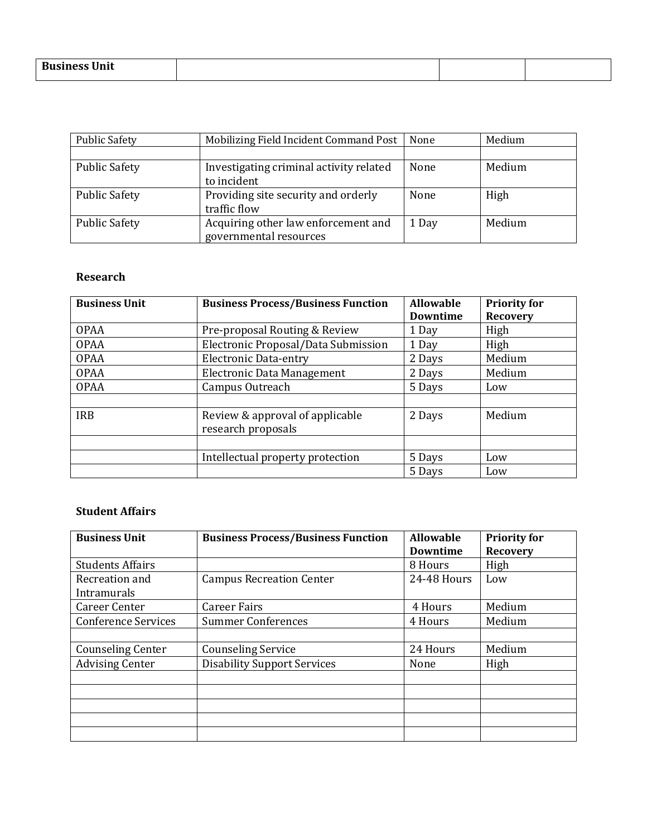| $-$<br>$D----$<br>.<br>--<br>DЦ<br>,,,,, |  |  |
|------------------------------------------|--|--|
|                                          |  |  |

| <b>Public Safety</b> | Mobilizing Field Incident Command Post  | None  | Medium |
|----------------------|-----------------------------------------|-------|--------|
|                      |                                         |       |        |
| <b>Public Safety</b> | Investigating criminal activity related | None  | Medium |
|                      | to incident                             |       |        |
| <b>Public Safety</b> | Providing site security and orderly     | None  | High   |
|                      | traffic flow                            |       |        |
| <b>Public Safety</b> | Acquiring other law enforcement and     | 1 Day | Medium |
|                      | governmental resources                  |       |        |

## **Research**

| <b>Business Unit</b> | <b>Business Process/Business Function</b> | <b>Allowable</b> | <b>Priority for</b> |
|----------------------|-------------------------------------------|------------------|---------------------|
|                      |                                           | <b>Downtime</b>  | <b>Recovery</b>     |
| <b>OPAA</b>          | Pre-proposal Routing & Review             | 1 Day            | High                |
| <b>OPAA</b>          | Electronic Proposal/Data Submission       | 1 Day            | High                |
| <b>OPAA</b>          | <b>Electronic Data-entry</b>              | 2 Days           | Medium              |
| <b>OPAA</b>          | <b>Electronic Data Management</b>         | 2 Days           | Medium              |
| <b>OPAA</b>          | Campus Outreach                           | 5 Days           | Low                 |
|                      |                                           |                  |                     |
| <b>IRB</b>           | Review & approval of applicable           | 2 Days           | Medium              |
|                      | research proposals                        |                  |                     |
|                      |                                           |                  |                     |
|                      | Intellectual property protection          | 5 Days           | Low                 |
|                      |                                           | 5 Days           | Low                 |

## **Student Affairs**

| <b>Business Unit</b>       | <b>Business Process/Business Function</b> | <b>Allowable</b> | <b>Priority for</b> |
|----------------------------|-------------------------------------------|------------------|---------------------|
|                            |                                           | <b>Downtime</b>  | <b>Recovery</b>     |
| <b>Students Affairs</b>    |                                           | 8 Hours          | High                |
| Recreation and             | <b>Campus Recreation Center</b>           | 24-48 Hours      | Low                 |
| Intramurals                |                                           |                  |                     |
| <b>Career Center</b>       | <b>Career Fairs</b>                       | 4 Hours          | Medium              |
| <b>Conference Services</b> | <b>Summer Conferences</b>                 | 4 Hours          | Medium              |
|                            |                                           |                  |                     |
| <b>Counseling Center</b>   | <b>Counseling Service</b>                 | 24 Hours         | Medium              |
| <b>Advising Center</b>     | <b>Disability Support Services</b>        | None             | High                |
|                            |                                           |                  |                     |
|                            |                                           |                  |                     |
|                            |                                           |                  |                     |
|                            |                                           |                  |                     |
|                            |                                           |                  |                     |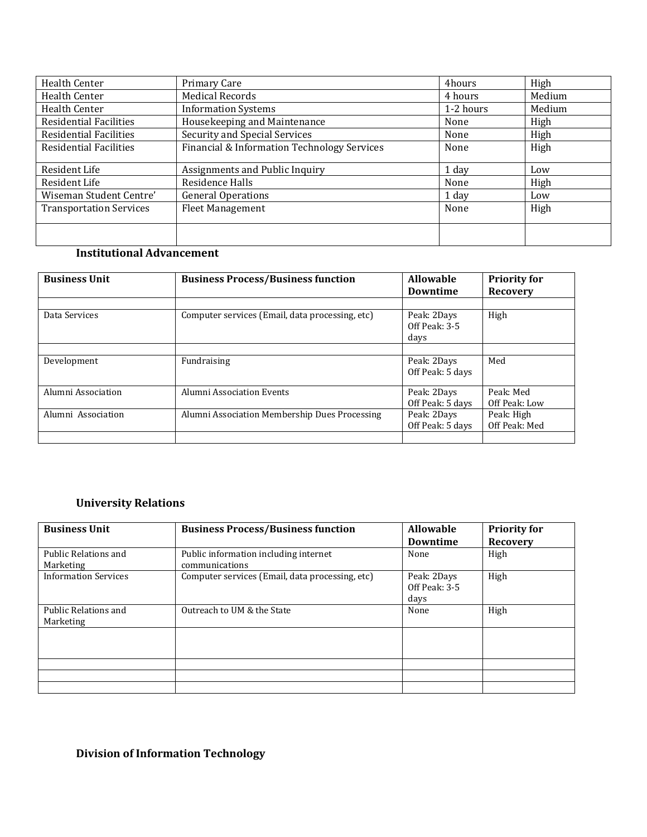| Health Center                  | Primary Care                                | 4hours    | High   |
|--------------------------------|---------------------------------------------|-----------|--------|
| Health Center                  | <b>Medical Records</b>                      | 4 hours   | Medium |
| Health Center                  | <b>Information Systems</b>                  | 1-2 hours | Medium |
| <b>Residential Facilities</b>  | Housekeeping and Maintenance                | None      | High   |
| <b>Residential Facilities</b>  | Security and Special Services               | None      | High   |
| <b>Residential Facilities</b>  | Financial & Information Technology Services | None      | High   |
| Resident Life                  | Assignments and Public Inquiry              | 1 day     | Low    |
| Resident Life                  | Residence Halls                             | None      | High   |
| Wiseman Student Centre'        | <b>General Operations</b>                   | 1 day     | Low    |
| <b>Transportation Services</b> | <b>Fleet Management</b>                     | None      | High   |
|                                |                                             |           |        |

## **Institutional Advancement**

|                                                 | <b>Downtime</b>                      | <b>Priority for</b><br><b>Recovery</b><br>High |  |
|-------------------------------------------------|--------------------------------------|------------------------------------------------|--|
| Computer services (Email, data processing, etc) | Peak: 2Days<br>Off Peak: 3-5<br>days |                                                |  |
| Fundraising                                     | Peak: 2Days<br>Off Peak: 5 days      | Med                                            |  |
| Alumni Association Events                       | Peak: 2Days<br>Off Peak: 5 days      | Peak: Med<br>Off Peak: Low                     |  |
| Alumni Association Membership Dues Processing   | Peak: 2Days<br>Off Peak: 5 days      | Peak: High<br>Off Peak: Med                    |  |
|                                                 |                                      |                                                |  |

# **University Relations**

| <b>Business Unit</b>              | <b>Business Process/Business function</b>               | <b>Allowable</b><br><b>Downtime</b>  | <b>Priority for</b><br><b>Recovery</b> |
|-----------------------------------|---------------------------------------------------------|--------------------------------------|----------------------------------------|
| Public Relations and<br>Marketing | Public information including internet<br>communications | None                                 | High                                   |
| <b>Information Services</b>       | Computer services (Email, data processing, etc)         | Peak: 2Days<br>Off Peak: 3-5<br>days | High                                   |
| Public Relations and<br>Marketing | Outreach to UM & the State                              | None                                 | High                                   |
|                                   |                                                         |                                      |                                        |
|                                   |                                                         |                                      |                                        |
|                                   |                                                         |                                      |                                        |
|                                   |                                                         |                                      |                                        |

# **Division of Information Technology**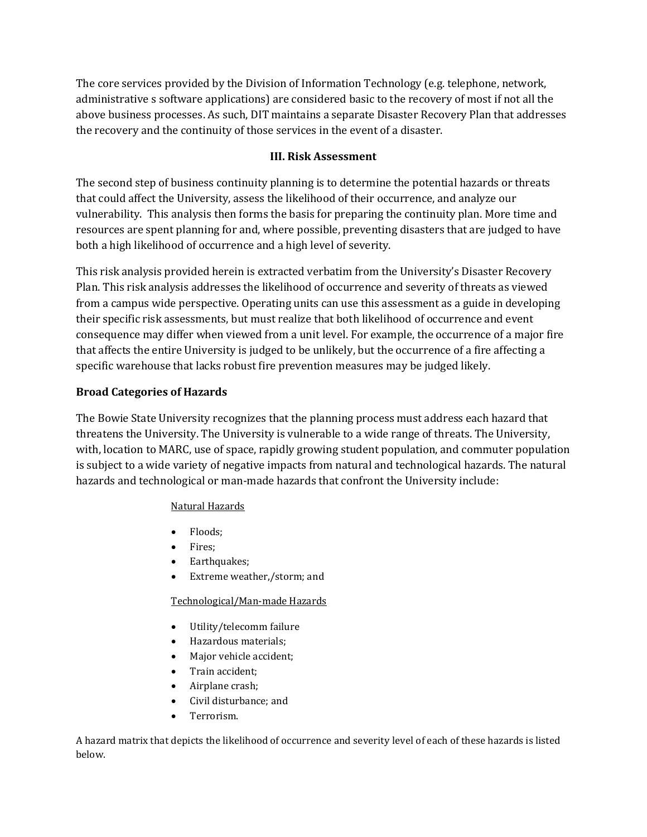The core services provided by the Division of Information Technology (e.g. telephone, network, administrative s software applications) are considered basic to the recovery of most if not all the above business processes. As such, DIT maintains a separate Disaster Recovery Plan that addresses the recovery and the continuity of those services in the event of a disaster.

## **III. Risk Assessment**

The second step of business continuity planning is to determine the potential hazards or threats that could affect the University, assess the likelihood of their occurrence, and analyze our vulnerability. This analysis then forms the basis for preparing the continuity plan. More time and resources are spent planning for and, where possible, preventing disasters that are judged to have both a high likelihood of occurrence and a high level of severity.

This risk analysis provided herein is extracted verbatim from the University's Disaster Recovery Plan. This risk analysis addresses the likelihood of occurrence and severity of threats as viewed from a campus wide perspective. Operating units can use this assessment as a guide in developing their specific risk assessments, but must realize that both likelihood of occurrence and event consequence may differ when viewed from a unit level. For example, the occurrence of a major fire that affects the entire University is judged to be unlikely, but the occurrence of a fire affecting a specific warehouse that lacks robust fire prevention measures may be judged likely.

### **Broad Categories of Hazards**

The Bowie State University recognizes that the planning process must address each hazard that threatens the University. The University is vulnerable to a wide range of threats. The University, with, location to MARC, use of space, rapidly growing student population, and commuter population is subject to a wide variety of negative impacts from natural and technological hazards. The natural hazards and technological or man-made hazards that confront the University include:

### Natural Hazards

- Floods:
- Fires;
- Earthquakes;
- Extreme weather,/storm; and

### Technological/Man-made Hazards

- Utility/telecomm failure
- Hazardous materials;
- Major vehicle accident;
- Train accident;
- Airplane crash;
- Civil disturbance; and
- Terrorism.

A hazard matrix that depicts the likelihood of occurrence and severity level of each of these hazards is listed below.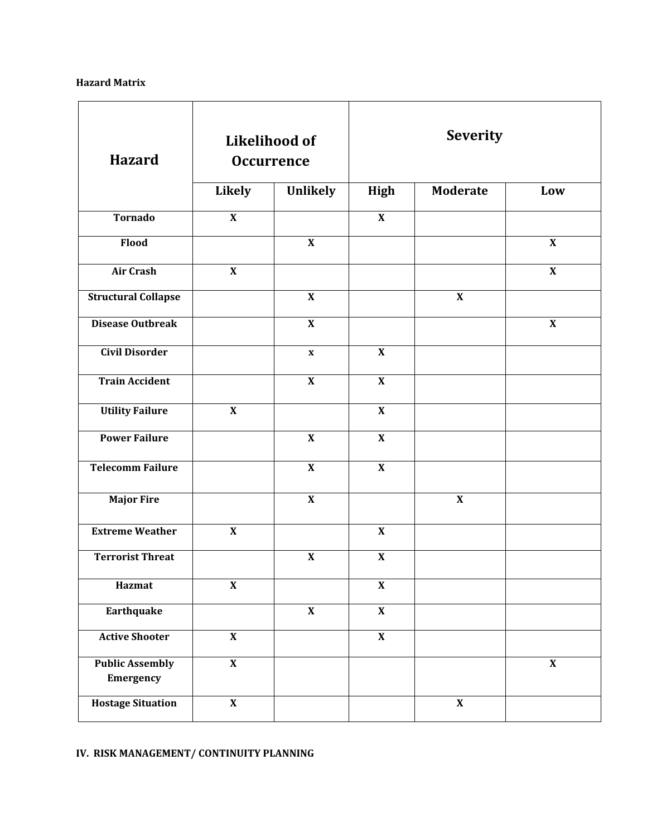### **Hazard Matrix**

| <b>Hazard</b>                       | <b>Likelihood of</b><br><b>Occurrence</b> |                           | <b>Severity</b>           |                           |                           |
|-------------------------------------|-------------------------------------------|---------------------------|---------------------------|---------------------------|---------------------------|
|                                     | Likely                                    | <b>Unlikely</b>           | <b>High</b>               | <b>Moderate</b>           | Low                       |
| <b>Tornado</b>                      | $\overline{\mathbf{X}}$                   |                           | $\overline{\mathbf{X}}$   |                           |                           |
| Flood                               |                                           | $\boldsymbol{\mathrm{X}}$ |                           |                           | $\boldsymbol{\mathrm{X}}$ |
| <b>Air Crash</b>                    | $\boldsymbol{\mathrm{X}}$                 |                           |                           |                           | $\boldsymbol{\mathrm{X}}$ |
| <b>Structural Collapse</b>          |                                           | $\boldsymbol{\mathrm{X}}$ |                           | $\boldsymbol{\mathrm{X}}$ |                           |
| <b>Disease Outbreak</b>             |                                           | $\overline{\mathbf{X}}$   |                           |                           | $\boldsymbol{\mathrm{X}}$ |
| <b>Civil Disorder</b>               |                                           | $\boldsymbol{\mathrm{X}}$ | $\overline{\mathbf{X}}$   |                           |                           |
| <b>Train Accident</b>               |                                           | $\overline{\mathbf{X}}$   | $\overline{\mathbf{X}}$   |                           |                           |
| <b>Utility Failure</b>              | $\boldsymbol{\mathrm{X}}$                 |                           | $\overline{\mathbf{X}}$   |                           |                           |
| <b>Power Failure</b>                |                                           | $\overline{\mathbf{X}}$   | $\overline{\mathbf{X}}$   |                           |                           |
| <b>Telecomm Failure</b>             |                                           | $\overline{\mathbf{X}}$   | $\overline{\mathbf{X}}$   |                           |                           |
| <b>Major Fire</b>                   |                                           | $\overline{\mathbf{X}}$   |                           | $\mathbf X$               |                           |
| <b>Extreme Weather</b>              | $\boldsymbol{\mathrm{X}}$                 |                           | $\boldsymbol{\mathrm{X}}$ |                           |                           |
| <b>Terrorist Threat</b>             |                                           | $\boldsymbol{\mathrm{X}}$ | $\boldsymbol{\mathrm{X}}$ |                           |                           |
| Hazmat                              | $\overline{\mathbf{X}}$                   |                           | $\overline{\mathbf{X}}$   |                           |                           |
| Earthquake                          |                                           | $\overline{\mathbf{X}}$   | $\overline{\mathbf{X}}$   |                           |                           |
| <b>Active Shooter</b>               | $\pmb{\mathsf{X}}$                        |                           | $\overline{\mathbf{X}}$   |                           |                           |
| <b>Public Assembly</b><br>Emergency | $\overline{\mathbf{X}}$                   |                           |                           |                           | $\boldsymbol{\mathrm{X}}$ |
| <b>Hostage Situation</b>            | $\overline{\mathbf{X}}$                   |                           |                           | $\boldsymbol{\mathrm{X}}$ |                           |

## **IV. RISK MANAGEMENT/ CONTINUITY PLANNING**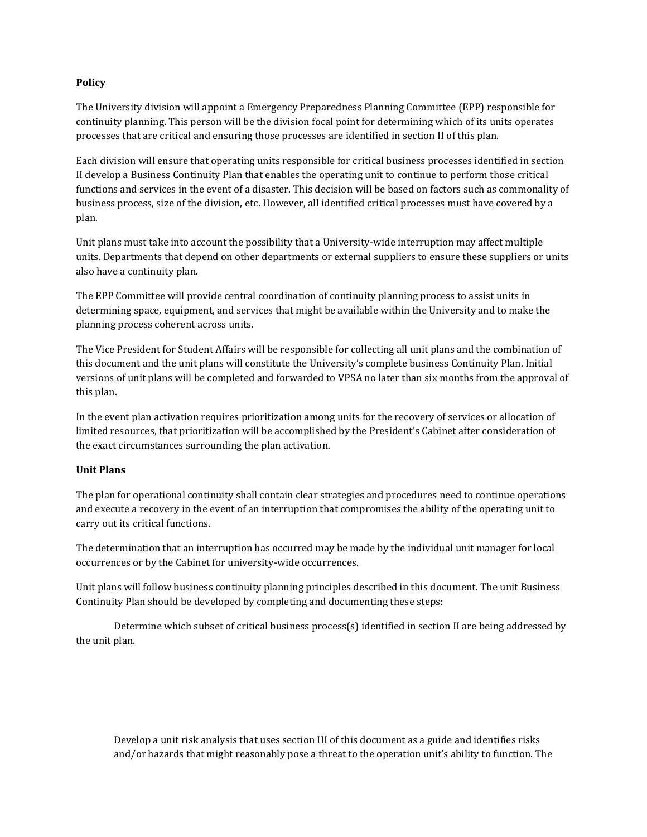#### **Policy**

The University division will appoint a Emergency Preparedness Planning Committee (EPP) responsible for continuity planning. This person will be the division focal point for determining which of its units operates processes that are critical and ensuring those processes are identified in section II of this plan.

Each division will ensure that operating units responsible for critical business processes identified in section II develop a Business Continuity Plan that enables the operating unit to continue to perform those critical functions and services in the event of a disaster. This decision will be based on factors such as commonality of business process, size of the division, etc. However, all identified critical processes must have covered by a plan.

Unit plans must take into account the possibility that a University-wide interruption may affect multiple units. Departments that depend on other departments or external suppliers to ensure these suppliers or units also have a continuity plan.

The EPP Committee will provide central coordination of continuity planning process to assist units in determining space, equipment, and services that might be available within the University and to make the planning process coherent across units.

The Vice President for Student Affairs will be responsible for collecting all unit plans and the combination of this document and the unit plans will constitute the University's complete business Continuity Plan. Initial versions of unit plans will be completed and forwarded to VPSA no later than six months from the approval of this plan.

In the event plan activation requires prioritization among units for the recovery of services or allocation of limited resources, that prioritization will be accomplished by the President's Cabinet after consideration of the exact circumstances surrounding the plan activation.

### **Unit Plans**

The plan for operational continuity shall contain clear strategies and procedures need to continue operations and execute a recovery in the event of an interruption that compromises the ability of the operating unit to carry out its critical functions.

The determination that an interruption has occurred may be made by the individual unit manager for local occurrences or by the Cabinet for university-wide occurrences.

Unit plans will follow business continuity planning principles described in this document. The unit Business Continuity Plan should be developed by completing and documenting these steps:

Determine which subset of critical business process(s) identified in section II are being addressed by the unit plan.

Develop a unit risk analysis that uses section III of this document as a guide and identifies risks and/or hazards that might reasonably pose a threat to the operation unit's ability to function. The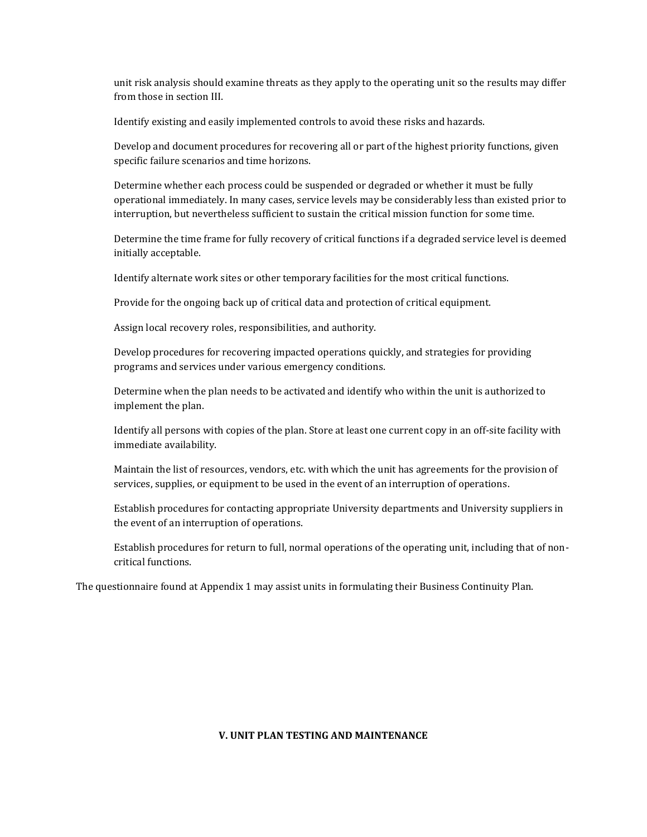unit risk analysis should examine threats as they apply to the operating unit so the results may differ from those in section III.

Identify existing and easily implemented controls to avoid these risks and hazards.

Develop and document procedures for recovering all or part of the highest priority functions, given specific failure scenarios and time horizons.

Determine whether each process could be suspended or degraded or whether it must be fully operational immediately. In many cases, service levels may be considerably less than existed prior to interruption, but nevertheless sufficient to sustain the critical mission function for some time.

Determine the time frame for fully recovery of critical functions if a degraded service level is deemed initially acceptable.

Identify alternate work sites or other temporary facilities for the most critical functions.

Provide for the ongoing back up of critical data and protection of critical equipment.

Assign local recovery roles, responsibilities, and authority.

Develop procedures for recovering impacted operations quickly, and strategies for providing programs and services under various emergency conditions.

Determine when the plan needs to be activated and identify who within the unit is authorized to implement the plan.

Identify all persons with copies of the plan. Store at least one current copy in an off-site facility with immediate availability.

Maintain the list of resources, vendors, etc. with which the unit has agreements for the provision of services, supplies, or equipment to be used in the event of an interruption of operations.

Establish procedures for contacting appropriate University departments and University suppliers in the event of an interruption of operations.

Establish procedures for return to full, normal operations of the operating unit, including that of noncritical functions.

The questionnaire found at Appendix 1 may assist units in formulating their Business Continuity Plan.

#### **V. UNIT PLAN TESTING AND MAINTENANCE**